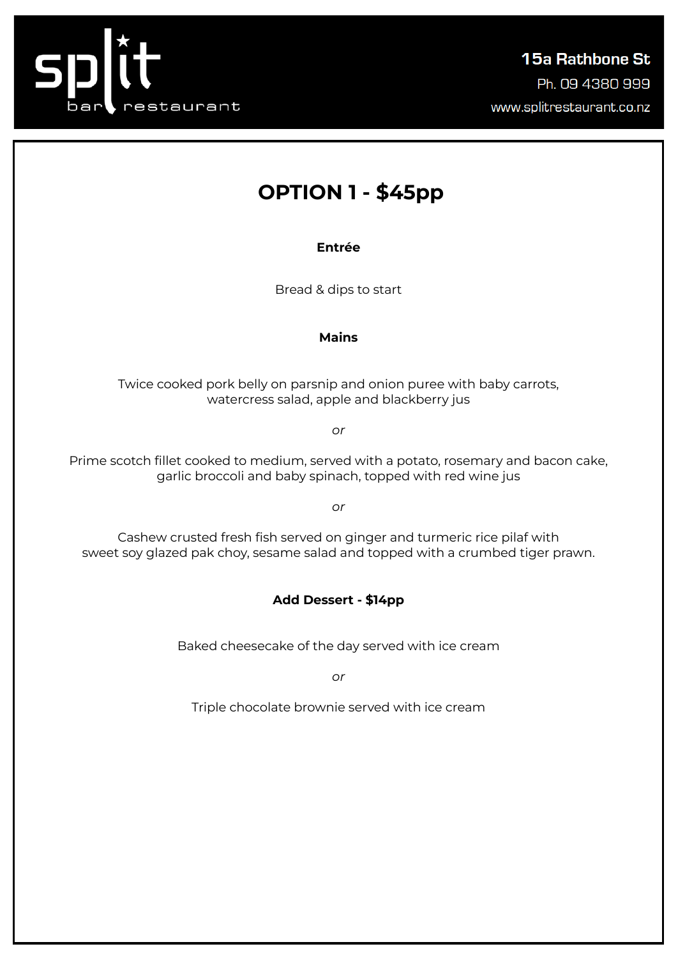

# **OPTION 1 - \$45pp**

**Entrée**

Bread & dips to start

## **Mains**

Twice cooked pork belly on parsnip and onion puree with baby carrots, watercress salad, apple and blackberry jus

*or*

Prime scotch fillet cooked to medium, served with a potato, rosemary and bacon cake, garlic broccoli and baby spinach, topped with red wine jus

*or*

Cashew crusted fresh fish served on ginger and turmeric rice pilaf with sweet soy glazed pak choy, sesame salad and topped with a crumbed tiger prawn.

## **Add Dessert - \$14pp**

Baked cheesecake of the day served with ice cream

*or*

Triple chocolate brownie served with ice cream